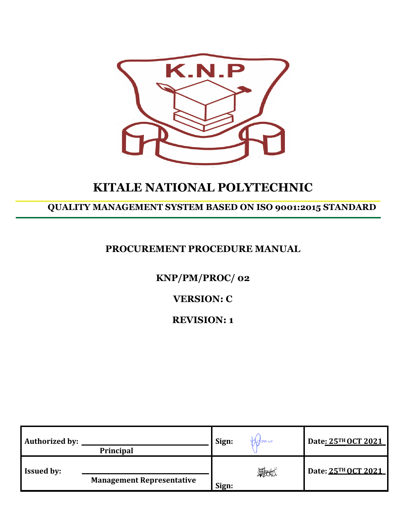

# **KITALE NATIONAL POLYTECHNIC**

## **QUALITY MANAGEMENT SYSTEM BASED ON ISO 9001:2015 STANDARD**

## **PROCUREMENT PROCEDURE MANUAL**

## **KNP/PM/PROC/ 02**

## **VERSION: C**

## **REVISION: 1**

| <b>Authorized by:</b> | <b>Principal</b>                 | Sign: | <i><b>Indu</b></i> | Date: 25TH OCT 2021 |
|-----------------------|----------------------------------|-------|--------------------|---------------------|
| <b>Issued by:</b>     | <b>Management Representative</b> | Sign: | 锻炼                 | Date: 25TH OCT 2021 |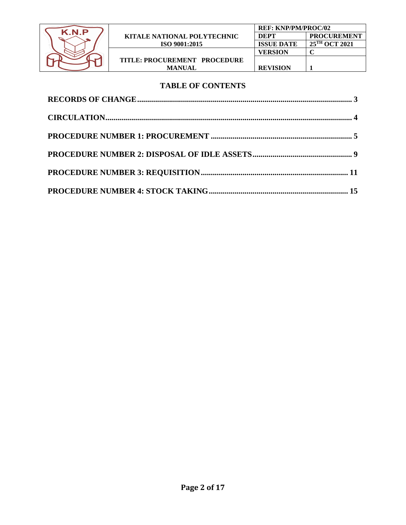

#### **TABLE OF CONTENTS**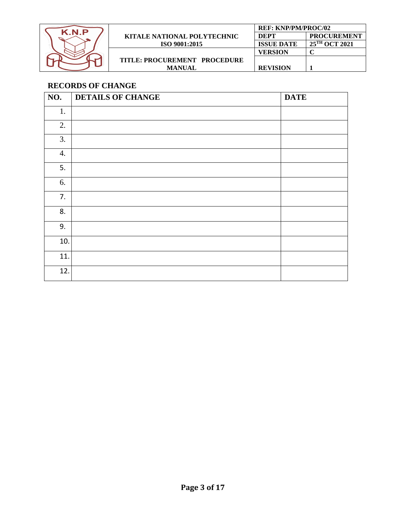| K.N.P |                                    | <b>REF: KNP/PM/PROC/02</b> |                           |
|-------|------------------------------------|----------------------------|---------------------------|
|       | <b>KITALE NATIONAL POLYTECHNIC</b> | <b>DEPT</b>                | <b>PROCUREMENT</b>        |
|       | ISO 9001:2015                      | <b>ISSUE DATE</b>          | 25 <sup>TH</sup> OCT 2021 |
|       |                                    | <b>VERSION</b>             |                           |
|       | TITLE: PROCUREMENT PROCEDURE       |                            |                           |
|       | <b>MANUAL</b>                      | <b>REVISION</b>            |                           |

## <span id="page-2-0"></span>**RECORDS OF CHANGE**

| $\overline{NO}$ . | <b>DETAILS OF CHANGE</b> | <b>DATE</b> |
|-------------------|--------------------------|-------------|
| 1.                |                          |             |
| 2.                |                          |             |
| 3.                |                          |             |
| 4.                |                          |             |
| 5.                |                          |             |
| 6.                |                          |             |
| 7.                |                          |             |
| 8.                |                          |             |
| 9.                |                          |             |
| 10.               |                          |             |
| 11.               |                          |             |
| 12.               |                          |             |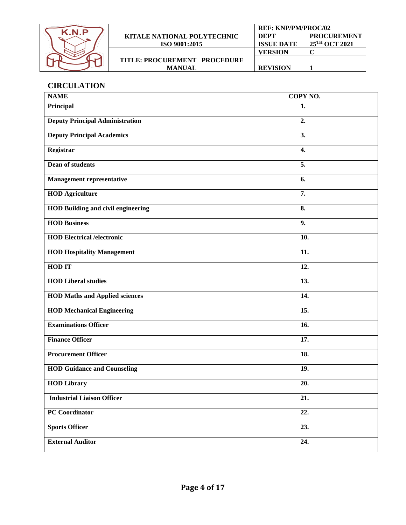

## <span id="page-3-0"></span>**CIRCULATION**

| <b>NAME</b>                               | COPY NO.         |
|-------------------------------------------|------------------|
| Principal                                 | 1.               |
| <b>Deputy Principal Administration</b>    | 2.               |
| <b>Deputy Principal Academics</b>         | 3.               |
| Registrar                                 | $\overline{4}$ . |
| <b>Dean of students</b>                   | 5.               |
| <b>Management representative</b>          | 6.               |
| <b>HOD</b> Agriculture                    | 7.               |
| <b>HOD Building and civil engineering</b> | 8.               |
| <b>HOD Business</b>                       | 9.               |
| <b>HOD Electrical /electronic</b>         | 10.              |
| <b>HOD Hospitality Management</b>         | 11.              |
| <b>HOD IT</b>                             | 12.              |
| <b>HOD Liberal studies</b>                | 13.              |
| <b>HOD Maths and Applied sciences</b>     | 14.              |
| <b>HOD Mechanical Engineering</b>         | 15.              |
| <b>Examinations Officer</b>               | 16.              |
| <b>Finance Officer</b>                    | 17.              |
| <b>Procurement Officer</b>                | 18.              |
| <b>HOD Guidance and Counseling</b>        | 19.              |
| <b>HOD Library</b>                        | 20.              |
| <b>Industrial Liaison Officer</b>         | 21.              |
| <b>PC</b> Coordinator                     | 22.              |
| <b>Sports Officer</b>                     | 23.              |
| <b>External Auditor</b>                   | 24.              |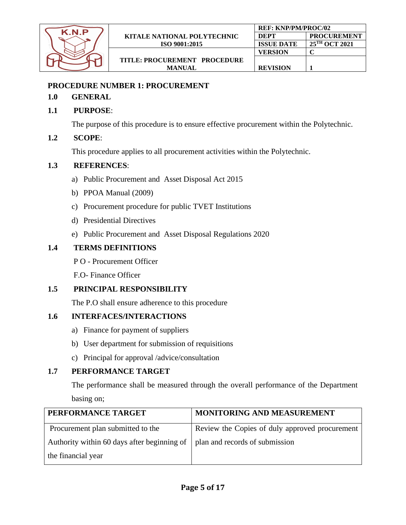

**REF: KNP/PM/PROC/02**

#### <span id="page-4-0"></span>**PROCEDURE NUMBER 1: PROCUREMENT**

#### **1.0 GENERAL**

#### **1.1 PURPOSE**:

The purpose of this procedure is to ensure effective procurement within the Polytechnic.

#### **1.2 SCOPE**:

This procedure applies to all procurement activities within the Polytechnic.

#### **1.3 REFERENCES**:

- a) Public Procurement and Asset Disposal Act 2015
- b) PPOA Manual (2009)
- c) Procurement procedure for public TVET Institutions
- d) Presidential Directives
- e) Public Procurement and Asset Disposal Regulations 2020

## **1.4 TERMS DEFINITIONS**

- P O Procurement Officer
- F.O- Finance Officer

## **1.5 PRINCIPAL RESPONSIBILITY**

The P.O shall ensure adherence to this procedure

## **1.6 INTERFACES/INTERACTIONS**

- a) Finance for payment of suppliers
- b) User department for submission of requisitions
- c) Principal for approval /advice/consultation

## **1.7 PERFORMANCE TARGET**

The performance shall be measured through the overall performance of the Department basing on;

| PERFORMANCE TARGET                                                                     | MONITORING AND MEASUREMENT                     |
|----------------------------------------------------------------------------------------|------------------------------------------------|
| Procurement plan submitted to the                                                      | Review the Copies of duly approved procurement |
| Authority within 60 days after beginning of $\parallel$ plan and records of submission |                                                |
| the financial year                                                                     |                                                |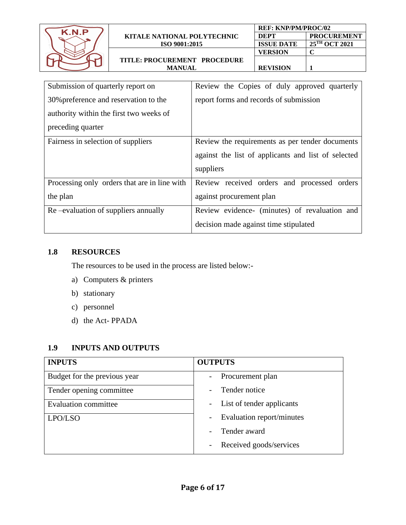| K N P |                              | <b>REF: KNP/PM/PROC/02</b> |                           |
|-------|------------------------------|----------------------------|---------------------------|
|       | KITALE NATIONAL POLYTECHNIC  | <b>DEPT</b>                | <b>PROCUREMENT</b>        |
|       | ISO 9001:2015                | <b>ISSUE DATE</b>          | $25^{\text{TH}}$ OCT 2021 |
|       |                              | VERSION                    |                           |
|       | TITLE: PROCUREMENT PROCEDURE |                            |                           |
|       | <b>MANUAL</b>                | <b>REVISION</b>            |                           |
|       |                              |                            |                           |

| Submission of quarterly report on            | Review the Copies of duly approved quarterly        |  |  |
|----------------------------------------------|-----------------------------------------------------|--|--|
| 30% preference and reservation to the        | report forms and records of submission              |  |  |
| authority within the first two weeks of      |                                                     |  |  |
| preceding quarter                            |                                                     |  |  |
| Fairness in selection of suppliers           | Review the requirements as per tender documents     |  |  |
|                                              | against the list of applicants and list of selected |  |  |
|                                              | suppliers                                           |  |  |
| Processing only orders that are in line with | Review received orders and processed orders         |  |  |
| the plan                                     | against procurement plan                            |  |  |
| Re –evaluation of suppliers annually         | Review evidence- (minutes) of revaluation and       |  |  |
|                                              | decision made against time stipulated               |  |  |

The resources to be used in the process are listed below:-

- a) Computers & printers
- b) stationary
- c) personnel
- d) the Act- PPADA

## **1.9 INPUTS AND OUTPUTS**

| <b>INPUTS</b>                | <b>OUTPUTS</b>                                        |
|------------------------------|-------------------------------------------------------|
| Budget for the previous year | Procurement plan<br>$\overline{\phantom{a}}$          |
| Tender opening committee     | Tender notice                                         |
| <b>Evaluation committee</b>  | List of tender applicants<br>$\overline{\phantom{0}}$ |
| LPO/LSO                      | Evaluation report/minutes                             |
|                              | Tender award                                          |
|                              | Received goods/services                               |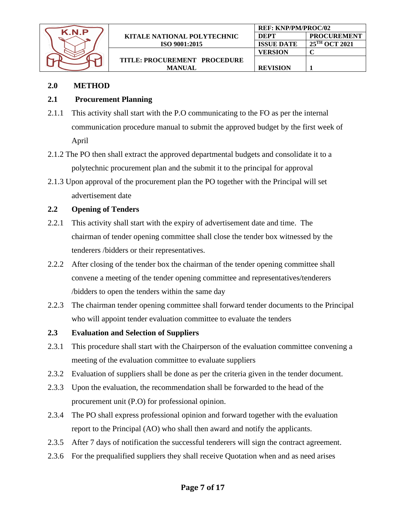| K N P |                                    | <b>REF: KNP/PM/PROC/02</b> |                           |
|-------|------------------------------------|----------------------------|---------------------------|
|       | <b>KITALE NATIONAL POLYTECHNIC</b> | DEPT                       | <b>PROCUREMENT</b>        |
|       | <b>ISO 9001:2015</b>               | <b>ISSUE DATE</b>          | 25 <sup>TH</sup> OCT 2021 |
|       |                                    | VERSION                    |                           |
|       | TITLE: PROCUREMENT PROCEDURE       |                            |                           |
|       | <b>MANUAL</b>                      | <b>REVISION</b>            |                           |

#### **2.0 METHOD**

#### **2.1 Procurement Planning**

- 2.1.1 This activity shall start with the P.O communicating to the FO as per the internal communication procedure manual to submit the approved budget by the first week of April
- 2.1.2 The PO then shall extract the approved departmental budgets and consolidate it to a polytechnic procurement plan and the submit it to the principal for approval
- 2.1.3 Upon approval of the procurement plan the PO together with the Principal will set advertisement date

## **2.2 Opening of Tenders**

- 2.2.1 This activity shall start with the expiry of advertisement date and time. The chairman of tender opening committee shall close the tender box witnessed by the tenderers /bidders or their representatives.
- 2.2.2 After closing of the tender box the chairman of the tender opening committee shall convene a meeting of the tender opening committee and representatives/tenderers /bidders to open the tenders within the same day
- 2.2.3 The chairman tender opening committee shall forward tender documents to the Principal who will appoint tender evaluation committee to evaluate the tenders
- **2.3 Evaluation and Selection of Suppliers**
- 2.3.1 This procedure shall start with the Chairperson of the evaluation committee convening a meeting of the evaluation committee to evaluate suppliers
- 2.3.2 Evaluation of suppliers shall be done as per the criteria given in the tender document.
- 2.3.3 Upon the evaluation, the recommendation shall be forwarded to the head of the procurement unit (P.O) for professional opinion.
- 2.3.4 The PO shall express professional opinion and forward together with the evaluation report to the Principal (AO) who shall then award and notify the applicants.
- 2.3.5 After 7 days of notification the successful tenderers will sign the contract agreement.
- 2.3.6 For the prequalified suppliers they shall receive Quotation when and as need arises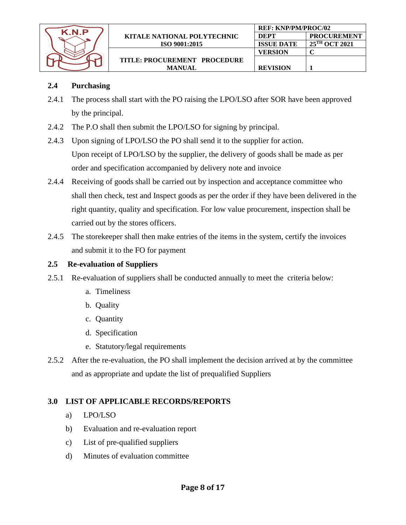

## **2.4 Purchasing**

2.4.1 The process shall start with the PO raising the LPO/LSO after SOR have been approved by the principal.

**REVISION 1**

- 2.4.2 The P.O shall then submit the LPO/LSO for signing by principal.
- 2.4.3 Upon signing of LPO/LSO the PO shall send it to the supplier for action. Upon receipt of LPO/LSO by the supplier, the delivery of goods shall be made as per order and specification accompanied by delivery note and invoice
- 2.4.4 Receiving of goods shall be carried out by inspection and acceptance committee who shall then check, test and Inspect goods as per the order if they have been delivered in the right quantity, quality and specification. For low value procurement, inspection shall be carried out by the stores officers.
- 2.4.5 The storekeeper shall then make entries of the items in the system, certify the invoices and submit it to the FO for payment

#### **2.5 Re-evaluation of Suppliers**

- 2.5.1 Re-evaluation of suppliers shall be conducted annually to meet the criteria below:
	- a. Timeliness
	- b. Quality
	- c. Quantity
	- d. Specification
	- e. Statutory/legal requirements
- 2.5.2 After the re-evaluation, the PO shall implement the decision arrived at by the committee and as appropriate and update the list of prequalified Suppliers

## **3.0 LIST OF APPLICABLE RECORDS/REPORTS**

- a) LPO/LSO
- b) Evaluation and re-evaluation report
- c) List of pre-qualified suppliers
- d) Minutes of evaluation committee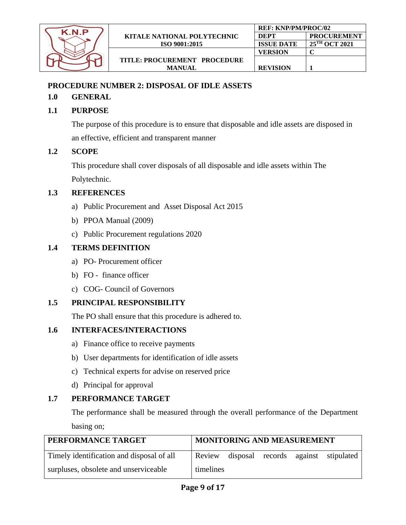

## <span id="page-8-0"></span>**PROCEDURE NUMBER 2: DISPOSAL OF IDLE ASSETS**

## **1.0 GENERAL**

## **1.1 PURPOSE**

The purpose of this procedure is to ensure that disposable and idle assets are disposed in an effective, efficient and transparent manner

**REVISION 1**

## **1.2 SCOPE**

This procedure shall cover disposals of all disposable and idle assets within The Polytechnic.

#### **1.3 REFERENCES**

- a) Public Procurement and Asset Disposal Act 2015
- b) PPOA Manual (2009)
- c) Public Procurement regulations 2020

## **1.4 TERMS DEFINITION**

- a) PO- Procurement officer
- b) FO finance officer
- c) COG- Council of Governors

## **1.5 PRINCIPAL RESPONSIBILITY**

The PO shall ensure that this procedure is adhered to.

## **1.6 INTERFACES/INTERACTIONS**

- a) Finance office to receive payments
- b) User departments for identification of idle assets
- c) Technical experts for advise on reserved price
- d) Principal for approval

## **1.7 PERFORMANCE TARGET**

The performance shall be measured through the overall performance of the Department basing on;

| PERFORMANCE TARGET                        |           | MONITORING AND MEASUREMENT |         |            |
|-------------------------------------------|-----------|----------------------------|---------|------------|
| Timely identification and disposal of all | Review    | disposal records           | against | stipulated |
| surpluses, obsolete and unserviceable     | timelines |                            |         |            |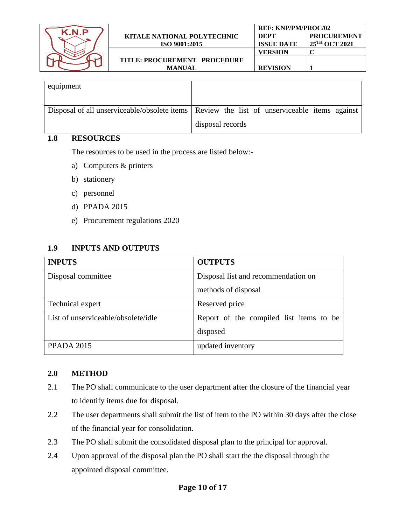

| equipment |                                                                                                                   |
|-----------|-------------------------------------------------------------------------------------------------------------------|
|           | Disposal of all unserviceable/obsolete items   Review the list of unserviceable items against<br>disposal records |

The resources to be used in the process are listed below:-

- a) Computers & printers
- b) stationery
- c) personnel
- d) PPADA 2015
- e) Procurement regulations 2020

#### **1.9 INPUTS AND OUTPUTS**

| <b>INPUTS</b>                       | <b>OUTPUTS</b>                          |
|-------------------------------------|-----------------------------------------|
| Disposal committee                  | Disposal list and recommendation on     |
|                                     | methods of disposal                     |
| Technical expert                    | Reserved price                          |
| List of unserviceable/obsolete/idle | Report of the compiled list items to be |
|                                     | disposed                                |
| <b>PPADA 2015</b>                   | updated inventory                       |

#### **2.0 METHOD**

- 2.1 The PO shall communicate to the user department after the closure of the financial year to identify items due for disposal.
- 2.2 The user departments shall submit the list of item to the PO within 30 days after the close of the financial year for consolidation.
- 2.3 The PO shall submit the consolidated disposal plan to the principal for approval.
- 2.4 Upon approval of the disposal plan the PO shall start the the disposal through the appointed disposal committee.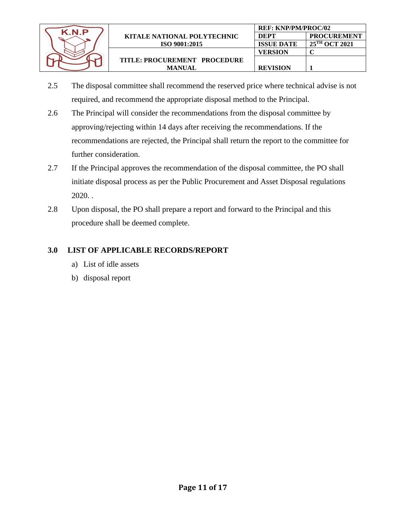

- 2.5 The disposal committee shall recommend the reserved price where technical advise is not required, and recommend the appropriate disposal method to the Principal.
- 2.6 The Principal will consider the recommendations from the disposal committee by approving/rejecting within 14 days after receiving the recommendations. If the recommendations are rejected, the Principal shall return the report to the committee for further consideration.
- 2.7 If the Principal approves the recommendation of the disposal committee, the PO shall initiate disposal process as per the Public Procurement and Asset Disposal regulations 2020. .
- 2.8 Upon disposal, the PO shall prepare a report and forward to the Principal and this procedure shall be deemed complete.

## **3.0 LIST OF APPLICABLE RECORDS/REPORT**

- a) List of idle assets
- <span id="page-10-0"></span>b) disposal report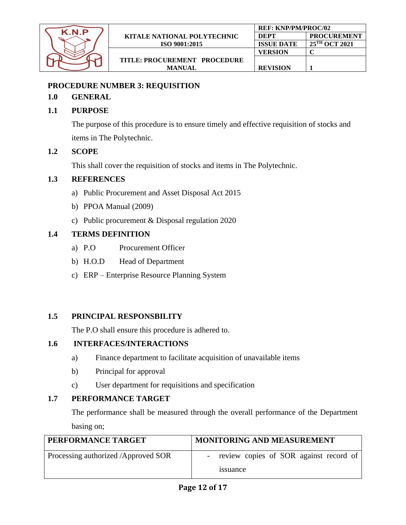

## **PROCEDURE NUMBER 3: REQUISITION**

### **1.0 GENERAL**

#### **1.1 PURPOSE**

The purpose of this procedure is to ensure timely and effective requisition of stocks and items in The Polytechnic.

**REVISION 1**

#### **1.2 SCOPE**

This shall cover the requisition of stocks and items in The Polytechnic.

#### **1.3 REFERENCES**

- a) Public Procurement and Asset Disposal Act 2015
- b) PPOA Manual (2009)
- c) Public procurement & Disposal regulation 2020

## **1.4 TERMS DEFINITION**

- a) P.O Procurement Officer
- b) H.O.D Head of Department
- c) ERP Enterprise Resource Planning System

## **1.5 PRINCIPAL RESPONSBILITY**

The P.O shall ensure this procedure is adhered to.

#### **1.6 INTERFACES/INTERACTIONS**

- a) Finance department to facilitate acquisition of unavailable items
- b) Principal for approval
- c) User department for requisitions and specification

## **1.7 PERFORMANCE TARGET**

The performance shall be measured through the overall performance of the Department basing on;

| PERFORMANCE TARGET                  | <b>MONITORING AND MEASUREMENT</b>      |
|-------------------------------------|----------------------------------------|
| Processing authorized /Approved SOR | review copies of SOR against record of |
|                                     | issuance                               |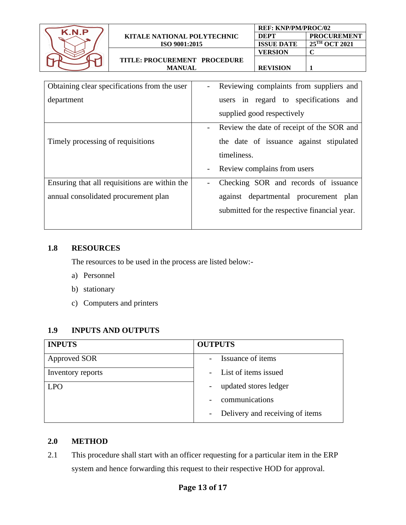| K.N.P                                | KITALE NATIONAL POLYTECHNIC                   |                                         | <b>REF: KNP/PM/PROC/02</b> |                                              |                                           |
|--------------------------------------|-----------------------------------------------|-----------------------------------------|----------------------------|----------------------------------------------|-------------------------------------------|
|                                      |                                               |                                         | <b>DEPT</b>                | <b>PROCUREMENT</b>                           |                                           |
|                                      |                                               | ISO 9001:2015                           |                            | <b>ISSUE DATE</b>                            | 25TH OCT 2021                             |
|                                      |                                               |                                         |                            | <b>VERSION</b>                               | $\mathbf C$                               |
|                                      | TITLE: PROCUREMENT PROCEDURE                  |                                         |                            |                                              |                                           |
|                                      | <b>MANUAL</b>                                 |                                         |                            | <b>REVISION</b>                              | 1                                         |
|                                      |                                               |                                         |                            |                                              |                                           |
|                                      | Obtaining clear specifications from the user  | $\overline{\phantom{a}}$                |                            |                                              | Reviewing complaints from suppliers and   |
| department                           |                                               |                                         |                            | users in regard to specifications            | and                                       |
|                                      |                                               |                                         |                            |                                              |                                           |
|                                      |                                               |                                         |                            | supplied good respectively                   |                                           |
|                                      |                                               | $\overline{\phantom{0}}$                |                            |                                              | Review the date of receipt of the SOR and |
| Timely processing of requisitions    |                                               | the date of issuance against stipulated |                            |                                              |                                           |
|                                      |                                               |                                         | timeliness.                |                                              |                                           |
|                                      |                                               |                                         |                            |                                              |                                           |
|                                      |                                               | $\overline{\phantom{a}}$                |                            | Review complains from users                  |                                           |
|                                      | Ensuring that all requisitions are within the | $\overline{\phantom{a}}$                |                            |                                              | Checking SOR and records of issuance      |
| annual consolidated procurement plan |                                               |                                         |                            |                                              | against departmental procurement plan     |
|                                      |                                               |                                         |                            | submitted for the respective financial year. |                                           |

The resources to be used in the process are listed below:-

- a) Personnel
- b) stationary
- c) Computers and printers

#### **1.9 INPUTS AND OUTPUTS**

| <b>INPUTS</b>     | <b>OUTPUTS</b>                             |
|-------------------|--------------------------------------------|
| Approved SOR      | Issuance of items                          |
| Inventory reports | - List of items issued                     |
| <b>LPO</b>        | updated stores ledger<br>$\qquad \qquad -$ |
|                   | communications                             |
|                   | - Delivery and receiving of items          |

#### **2.0 METHOD**

2.1 This procedure shall start with an officer requesting for a particular item in the ERP system and hence forwarding this request to their respective HOD for approval.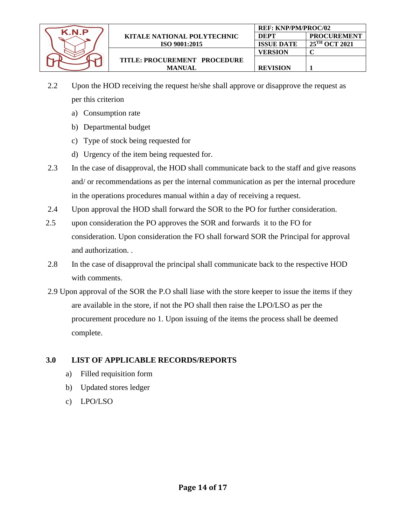

- 2.2 Upon the HOD receiving the request he/she shall approve or disapprove the request as per this criterion
	- a) Consumption rate
	- b) Departmental budget
	- c) Type of stock being requested for
	- d) Urgency of the item being requested for.
- 2.3 In the case of disapproval, the HOD shall communicate back to the staff and give reasons and/ or recommendations as per the internal communication as per the internal procedure in the operations procedures manual within a day of receiving a request.
- 2.4 Upon approval the HOD shall forward the SOR to the PO for further consideration.
- 2.5 upon consideration the PO approves the SOR and forwards it to the FO for consideration. Upon consideration the FO shall forward SOR the Principal for approval and authorization. .
- 2.8 In the case of disapproval the principal shall communicate back to the respective HOD with comments.
- 2.9 Upon approval of the SOR the P.O shall liase with the store keeper to issue the items if they are available in the store, if not the PO shall then raise the LPO/LSO as per the procurement procedure no 1. Upon issuing of the items the process shall be deemed complete.

#### **3.0 LIST OF APPLICABLE RECORDS/REPORTS**

- a) Filled requisition form
- b) Updated stores ledger
- c) LPO/LSO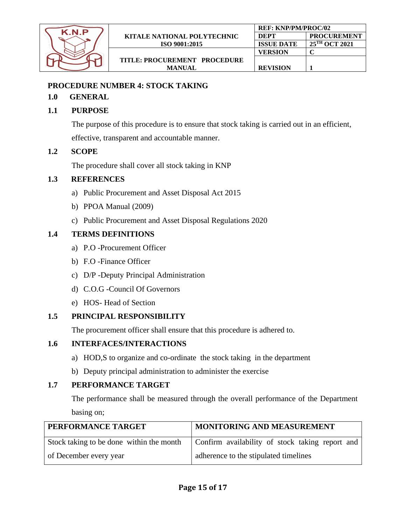

**REF: KNP/PM/PROC/02**

**DEPT PROCUREMENT**

#### <span id="page-14-0"></span>**PROCEDURE NUMBER 4: STOCK TAKING**

#### **1.0 GENERAL**

### **1.1 PURPOSE**

The purpose of this procedure is to ensure that stock taking is carried out in an efficient,

effective, transparent and accountable manner.

#### **1.2 SCOPE**

The procedure shall cover all stock taking in KNP

#### **1.3 REFERENCES**

- a) Public Procurement and Asset Disposal Act 2015
- b) PPOA Manual (2009)
- c) Public Procurement and Asset Disposal Regulations 2020

## **1.4 TERMS DEFINITIONS**

- a) P.O -Procurement Officer
- b) F.O -Finance Officer
- c) D/P -Deputy Principal Administration
- d) C.O.G -Council Of Governors
- e) HOS- Head of Section

## **1.5 PRINCIPAL RESPONSIBILITY**

The procurement officer shall ensure that this procedure is adhered to.

## **1.6 INTERFACES/INTERACTIONS**

- a) HOD,S to organize and co-ordinate the stock taking in the department
- b) Deputy principal administration to administer the exercise

## **1.7 PERFORMANCE TARGET**

The performance shall be measured through the overall performance of the Department basing on;

| PERFORMANCE TARGET                       | MONITORING AND MEASUREMENT                      |
|------------------------------------------|-------------------------------------------------|
| Stock taking to be done within the month | Confirm availability of stock taking report and |
| of December every year                   | adherence to the stipulated timelines           |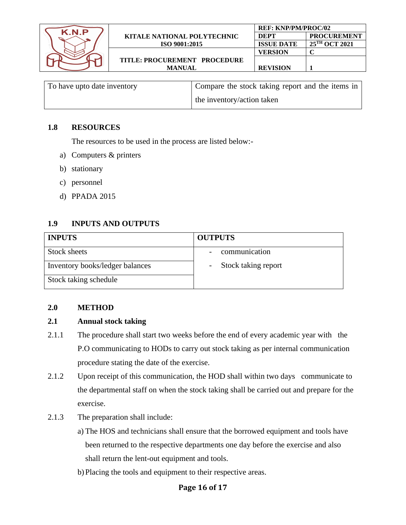| K.N.P | <b>REF: KNP/PM/PROC/02</b>         |                   |                           |
|-------|------------------------------------|-------------------|---------------------------|
|       | <b>KITALE NATIONAL POLYTECHNIC</b> | <b>DEPT</b>       | <b>PROCUREMENT</b>        |
|       | ISO 9001:2015                      | <b>ISSUE DATE</b> | 25 <sup>TH</sup> OCT 2021 |
|       |                                    | VERSION           |                           |
|       | TITLE: PROCUREMENT PROCEDURE       |                   |                           |
|       | <b>MANUAL</b>                      | <b>REVISION</b>   |                           |
|       |                                    |                   |                           |

| To have upto date inventory | Compare the stock taking report and the items in |
|-----------------------------|--------------------------------------------------|
|                             | the inventory/action taken                       |

The resources to be used in the process are listed below:-

- a) Computers & printers
- b) stationary
- c) personnel
- d) PPADA 2015

#### **1.9 INPUTS AND OUTPUTS**

| <b>INPUTS</b>                   | <b>OUTPUTS</b>        |
|---------------------------------|-----------------------|
| Stock sheets                    | communication         |
| Inventory books/ledger balances | - Stock taking report |
| Stock taking schedule           |                       |

#### **2.0 METHOD**

#### **2.1 Annual stock taking**

- 2.1.1 The procedure shall start two weeks before the end of every academic year with the P.O communicating to HODs to carry out stock taking as per internal communication procedure stating the date of the exercise.
- 2.1.2 Upon receipt of this communication, the HOD shall within two days communicate to the departmental staff on when the stock taking shall be carried out and prepare for the exercise.
- 2.1.3 The preparation shall include:
	- a) The HOS and technicians shall ensure that the borrowed equipment and tools have been returned to the respective departments one day before the exercise and also shall return the lent-out equipment and tools.
	- b)Placing the tools and equipment to their respective areas.

#### **Page 16 of 17**